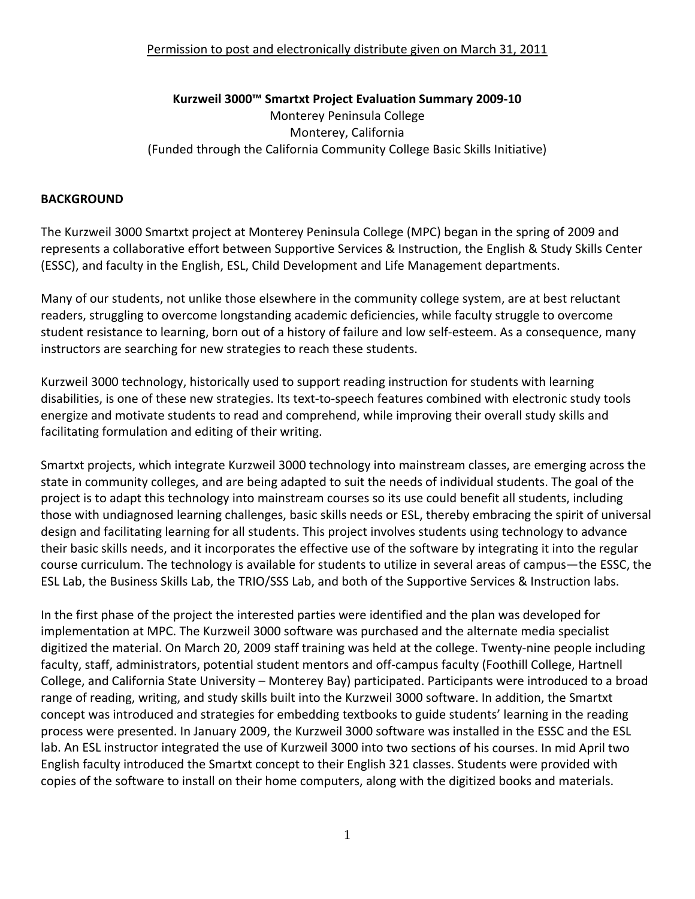### **Kurzweil 3000™ Smartxt Project Evaluation Summary 2009‐10** Monterey Peninsula College Monterey, California (Funded through the California Community College Basic Skills Initiative)

# **BACKGROUND**

The Kurzweil 3000 Smartxt project at Monterey Peninsula College (MPC) began in the spring of 2009 and represents a collaborative effort between Supportive Services & Instruction, the English & Study Skills Center (ESSC), and faculty in the English, ESL, Child Development and Life Management departments.

Many of our students, not unlike those elsewhere in the community college system, are at best reluctant readers, struggling to overcome longstanding academic deficiencies, while faculty struggle to overcome student resistance to learning, born out of a history of failure and low self‐esteem. As a consequence, many instructors are searching for new strategies to reach these students.

Kurzweil 3000 technology, historically used to support reading instruction for students with learning disabilities, is one of these new strategies. Its text‐to‐speech features combined with electronic study tools energize and motivate students to read and comprehend, while improving their overall study skills and facilitating formulation and editing of their writing.

Smartxt projects, which integrate Kurzweil 3000 technology into mainstream classes, are emerging across the state in community colleges, and are being adapted to suit the needs of individual students. The goal of the project is to adapt this technology into mainstream courses so its use could benefit all students, including those with undiagnosed learning challenges, basic skills needs or ESL, thereby embracing the spirit of universal design and facilitating learning for all students. This project involves students using technology to advance their basic skills needs, and it incorporates the effective use of the software by integrating it into the regular course curriculum. The technology is available for students to utilize in several areas of campus—the ESSC, the ESL Lab, the Business Skills Lab, the TRIO/SSS Lab, and both of the Supportive Services & Instruction labs.

In the first phase of the project the interested parties were identified and the plan was developed for implementation at MPC. The Kurzweil 3000 software was purchased and the alternate media specialist digitized the material. On March 20, 2009 staff training was held at the college. Twenty‐nine people including faculty, staff, administrators, potential student mentors and off‐campus faculty (Foothill College, Hartnell College, and California State University – Monterey Bay) participated. Participants were introduced to a broad range of reading, writing, and study skills built into the Kurzweil 3000 software. In addition, the Smartxt concept was introduced and strategies for embedding textbooks to guide students' learning in the reading process were presented. In January 2009, the Kurzweil 3000 software was installed in the ESSC and the ESL lab. An ESL instructor integrated the use of Kurzweil 3000 into two sections of his courses. In mid April two English faculty introduced the Smartxt concept to their English 321 classes. Students were provided with copies of the software to install on their home computers, along with the digitized books and materials.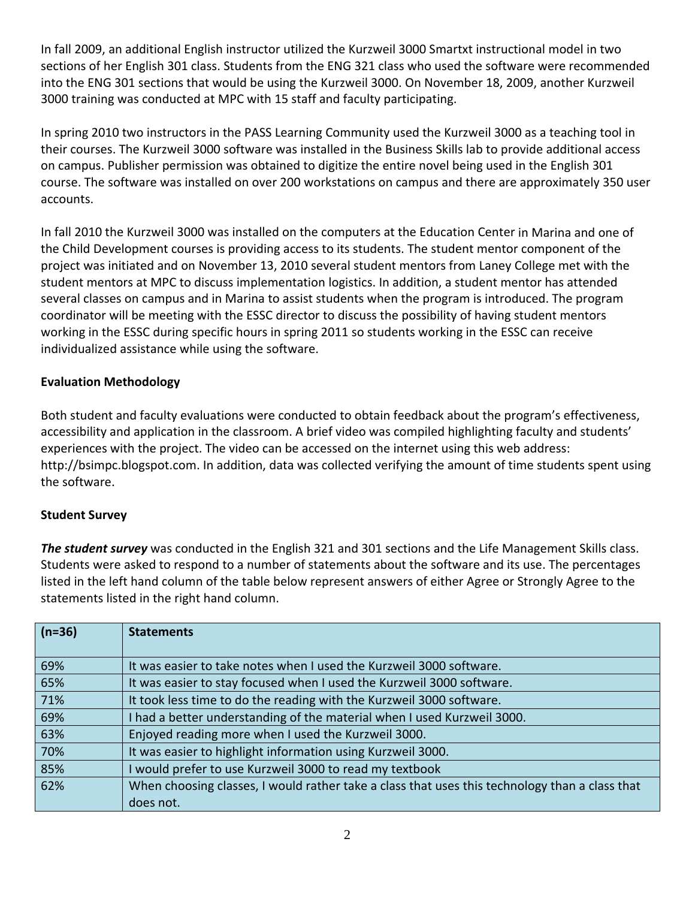In fall 2009, an additional English instructor utilized the Kurzweil 3000 Smartxt instructional model in two sections of her English 301 class. Students from the ENG 321 class who used the software were recommended into the ENG 301 sections that would be using the Kurzweil 3000. On November 18, 2009, another Kurzweil 3000 training was conducted at MPC with 15 staff and faculty participating.

In spring 2010 two instructors in the PASS Learning Community used the Kurzweil 3000 as a teaching tool in their courses. The Kurzweil 3000 software was installed in the Business Skills lab to provide additional access on campus. Publisher permission was obtained to digitize the entire novel being used in the English 301 course. The software was installed on over 200 workstations on campus and there are approximately 350 user accounts.

In fall 2010 the Kurzweil 3000 was installed on the computers at the Education Center in Marina and one of the Child Development courses is providing access to its students. The student mentor component of the project was initiated and on November 13, 2010 several student mentors from Laney College met with the student mentors at MPC to discuss implementation logistics. In addition, a student mentor has attended several classes on campus and in Marina to assist students when the program is introduced. The program coordinator will be meeting with the ESSC director to discuss the possibility of having student mentors working in the ESSC during specific hours in spring 2011 so students working in the ESSC can receive individualized assistance while using the software.

### **Evaluation Methodology**

Both student and faculty evaluations were conducted to obtain feedback about the program's effectiveness, accessibility and application in the classroom. A brief video was compiled highlighting faculty and students' experiences with the project. The video can be accessed on the internet using this web address: http://bsimpc.blogspot.com. In addition, data was collected verifying the amount of time students spent using the software.

#### **Student Survey**

*The student survey* was conducted in the English 321 and 301 sections and the Life Management Skills class. Students were asked to respond to a number of statements about the software and its use. The percentages listed in the left hand column of the table below represent answers of either Agree or Strongly Agree to the statements listed in the right hand column.

| $(n=36)$ | <b>Statements</b>                                                                              |
|----------|------------------------------------------------------------------------------------------------|
| 69%      | It was easier to take notes when I used the Kurzweil 3000 software.                            |
| 65%      | It was easier to stay focused when I used the Kurzweil 3000 software.                          |
| 71%      | It took less time to do the reading with the Kurzweil 3000 software.                           |
| 69%      | I had a better understanding of the material when I used Kurzweil 3000.                        |
| 63%      | Enjoyed reading more when I used the Kurzweil 3000.                                            |
| 70%      | It was easier to highlight information using Kurzweil 3000.                                    |
| 85%      | would prefer to use Kurzweil 3000 to read my textbook                                          |
| 62%      | When choosing classes, I would rather take a class that uses this technology than a class that |
|          | does not.                                                                                      |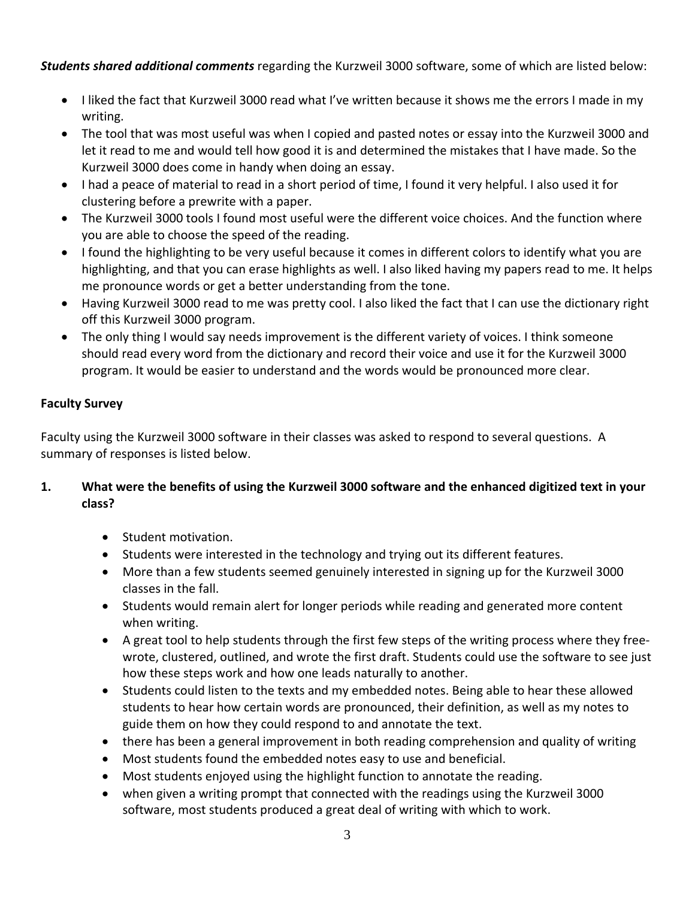*Students shared additional comments* regarding the Kurzweil 3000 software, some of which are listed below:

- I liked the fact that Kurzweil 3000 read what I've written because it shows me the errors I made in my writing.
- The tool that was most useful was when I copied and pasted notes or essay into the Kurzweil 3000 and let it read to me and would tell how good it is and determined the mistakes that I have made. So the Kurzweil 3000 does come in handy when doing an essay.
- I had a peace of material to read in a short period of time, I found it very helpful. I also used it for clustering before a prewrite with a paper.
- The Kurzweil 3000 tools I found most useful were the different voice choices. And the function where you are able to choose the speed of the reading.
- I found the highlighting to be very useful because it comes in different colors to identify what you are highlighting, and that you can erase highlights as well. I also liked having my papers read to me. It helps me pronounce words or get a better understanding from the tone.
- Having Kurzweil 3000 read to me was pretty cool. I also liked the fact that I can use the dictionary right off this Kurzweil 3000 program.
- The only thing I would say needs improvement is the different variety of voices. I think someone should read every word from the dictionary and record their voice and use it for the Kurzweil 3000 program. It would be easier to understand and the words would be pronounced more clear.

## **Faculty Survey**

Faculty using the Kurzweil 3000 software in their classes was asked to respond to several questions. A summary of responses is listed below.

### 1. What were the benefits of using the Kurzweil 3000 software and the enhanced digitized text in your **class?**

- Student motivation.
- Students were interested in the technology and trying out its different features.
- More than a few students seemed genuinely interested in signing up for the Kurzweil 3000 classes in the fall.
- Students would remain alert for longer periods while reading and generated more content when writing.
- A great tool to help students through the first few steps of the writing process where they free‐ wrote, clustered, outlined, and wrote the first draft. Students could use the software to see just how these steps work and how one leads naturally to another.
- Students could listen to the texts and my embedded notes. Being able to hear these allowed students to hear how certain words are pronounced, their definition, as well as my notes to guide them on how they could respond to and annotate the text.
- there has been a general improvement in both reading comprehension and quality of writing
- Most students found the embedded notes easy to use and beneficial.
- Most students enjoyed using the highlight function to annotate the reading.
- when given a writing prompt that connected with the readings using the Kurzweil 3000 software, most students produced a great deal of writing with which to work.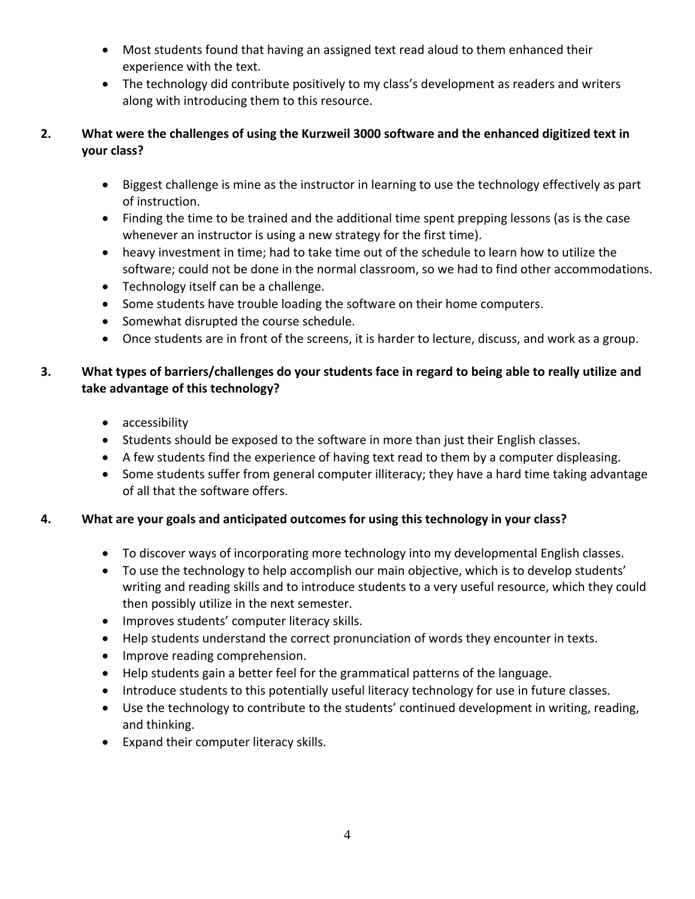- Most students found that having an assigned text read aloud to them enhanced their experience with the text.
- The technology did contribute positively to my class's development as readers and writers along with introducing them to this resource.

### **2. What were the challenges of using the Kurzweil 3000 software and the enhanced digitized text in your class?**

- Biggest challenge is mine as the instructor in learning to use the technology effectively as part of instruction.
- Finding the time to be trained and the additional time spent prepping lessons (as is the case whenever an instructor is using a new strategy for the first time).
- heavy investment in time; had to take time out of the schedule to learn how to utilize the software; could not be done in the normal classroom, so we had to find other accommodations.
- Technology itself can be a challenge.
- Some students have trouble loading the software on their home computers.
- Somewhat disrupted the course schedule.
- Once students are in front of the screens, it is harder to lecture, discuss, and work as a group.

## 3. What types of barriers/challenges do your students face in regard to being able to really utilize and **take advantage of this technology?**

- accessibility
- Students should be exposed to the software in more than just their English classes.
- A few students find the experience of having text read to them by a computer displeasing.
- Some students suffer from general computer illiteracy; they have a hard time taking advantage of all that the software offers.

## **4. What are your goals and anticipated outcomes for using this technology in your class?**

- To discover ways of incorporating more technology into my developmental English classes.
- To use the technology to help accomplish our main objective, which is to develop students' writing and reading skills and to introduce students to a very useful resource, which they could then possibly utilize in the next semester.
- Improves students' computer literacy skills.
- Help students understand the correct pronunciation of words they encounter in texts.
- Improve reading comprehension.
- Help students gain a better feel for the grammatical patterns of the language.
- Introduce students to this potentially useful literacy technology for use in future classes.
- Use the technology to contribute to the students' continued development in writing, reading, and thinking.
- Expand their computer literacy skills.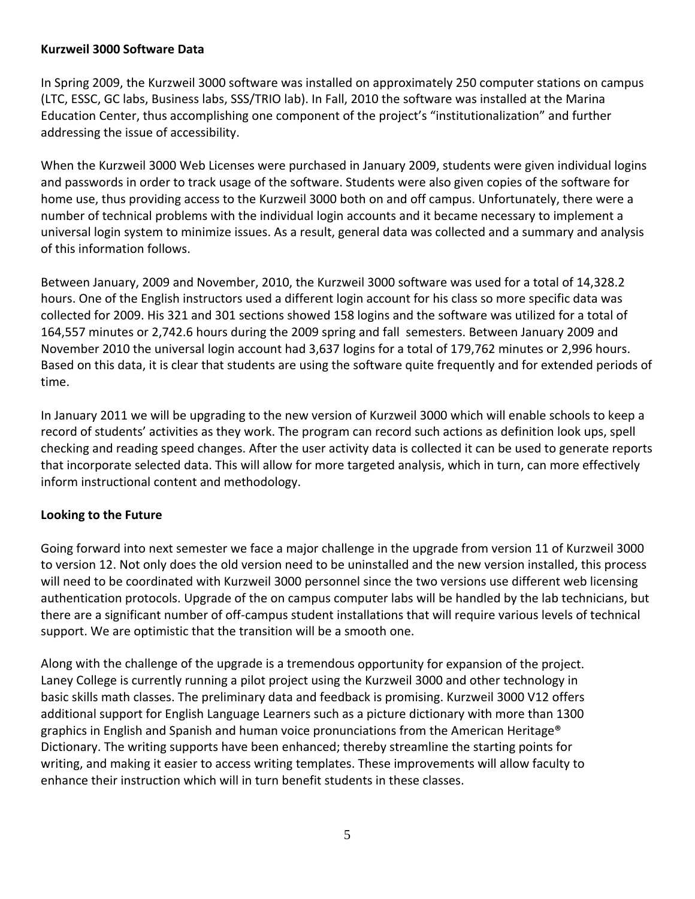#### **Kurzweil 3000 Software Data**

In Spring 2009, the Kurzweil 3000 software was installed on approximately 250 computer stations on campus (LTC, ESSC, GC labs, Business labs, SSS/TRIO lab). In Fall, 2010 the software was installed at the Marina Education Center, thus accomplishing one component of the project's "institutionalization" and further addressing the issue of accessibility.

When the Kurzweil 3000 Web Licenses were purchased in January 2009, students were given individual logins and passwords in order to track usage of the software. Students were also given copies of the software for home use, thus providing access to the Kurzweil 3000 both on and off campus. Unfortunately, there were a number of technical problems with the individual login accounts and it became necessary to implement a universal login system to minimize issues. As a result, general data was collected and a summary and analysis of this information follows.

Between January, 2009 and November, 2010, the Kurzweil 3000 software was used for a total of 14,328.2 hours. One of the English instructors used a different login account for his class so more specific data was collected for 2009. His 321 and 301 sections showed 158 logins and the software was utilized for a total of 164,557 minutes or 2,742.6 hours during the 2009 spring and fall semesters. Between January 2009 and November 2010 the universal login account had 3,637 logins for a total of 179,762 minutes or 2,996 hours. Based on this data, it is clear that students are using the software quite frequently and for extended periods of time.

In January 2011 we will be upgrading to the new version of Kurzweil 3000 which will enable schools to keep a record of students' activities as they work. The program can record such actions as definition look ups, spell checking and reading speed changes. After the user activity data is collected it can be used to generate reports that incorporate selected data. This will allow for more targeted analysis, which in turn, can more effectively inform instructional content and methodology.

#### **Looking to the Future**

Going forward into next semester we face a major challenge in the upgrade from version 11 of Kurzweil 3000 to version 12. Not only does the old version need to be uninstalled and the new version installed, this process will need to be coordinated with Kurzweil 3000 personnel since the two versions use different web licensing authentication protocols. Upgrade of the on campus computer labs will be handled by the lab technicians, but there are a significant number of off‐campus student installations that will require various levels of technical support. We are optimistic that the transition will be a smooth one.

Along with the challenge of the upgrade is a tremendous opportunity for expansion of the project. Laney College is currently running a pilot project using the Kurzweil 3000 and other technology in basic skills math classes. The preliminary data and feedback is promising. Kurzweil 3000 V12 offers additional support for English Language Learners such as a picture dictionary with more than 1300 graphics in English and Spanish and human voice pronunciations from the American Heritage® Dictionary. The writing supports have been enhanced; thereby streamline the starting points for writing, and making it easier to access writing templates. These improvements will allow faculty to enhance their instruction which will in turn benefit students in these classes.